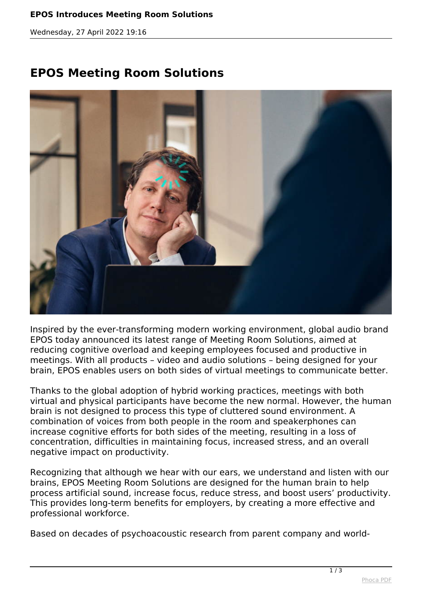*Wednesday, 27 April 2022 19:16*

## **EPOS Meeting Room Solutions**



*Inspired by the ever-transforming modern working environment, global audio brand EPOS today announced its latest range of Meeting Room Solutions, aimed at reducing cognitive overload and keeping employees focused and productive in meetings. With all products – video and audio solutions – being designed for your brain, EPOS enables users on both sides of virtual meetings to communicate better.*

*Thanks to the global adoption of hybrid working practices, meetings with both virtual and physical participants have become the new normal. However, the human brain is not designed to process this type of cluttered sound environment. A combination of voices from both people in the room and speakerphones can increase cognitive efforts for both sides of the meeting, resulting in a loss of concentration, difficulties in maintaining focus, increased stress, and an overall negative impact on productivity.*

*Recognizing that although we hear with our ears, we understand and listen with our brains, EPOS Meeting Room Solutions are designed for the human brain to help process artificial sound, increase focus, reduce stress, and boost users' productivity. This provides long-term benefits for employers, by creating a more effective and professional workforce.*

*Based on decades of psychoacoustic research from parent company and world-*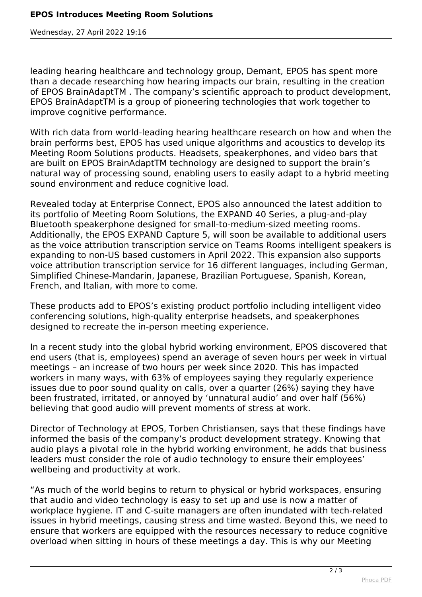*Wednesday, 27 April 2022 19:16*

*leading hearing healthcare and technology group, Demant, EPOS has spent more than a decade researching how hearing impacts our brain, resulting in the creation of EPOS BrainAdaptTM . The company's scientific approach to product development, EPOS BrainAdaptTM is a group of pioneering technologies that work together to improve cognitive performance.*

*With rich data from world-leading hearing healthcare research on how and when the brain performs best, EPOS has used unique algorithms and acoustics to develop its Meeting Room Solutions products. Headsets, speakerphones, and video bars that are built on EPOS BrainAdaptTM technology are designed to support the brain's natural way of processing sound, enabling users to easily adapt to a hybrid meeting sound environment and reduce cognitive load.*

*Revealed today at Enterprise Connect, EPOS also announced the latest addition to its portfolio of Meeting Room Solutions, the EXPAND 40 Series, a plug-and-play Bluetooth speakerphone designed for small-to-medium-sized meeting rooms. Additionally, the EPOS EXPAND Capture 5, will soon be available to additional users as the voice attribution transcription service on Teams Rooms intelligent speakers is expanding to non-US based customers in April 2022. This expansion also supports voice attribution transcription service for 16 different languages, including German, Simplified Chinese-Mandarin, Japanese, Brazilian Portuguese, Spanish, Korean, French, and Italian, with more to come.*

*These products add to EPOS's existing product portfolio including intelligent video conferencing solutions, high-quality enterprise headsets, and speakerphones designed to recreate the in-person meeting experience.*

*In a recent study into the global hybrid working environment, EPOS discovered that end users (that is, employees) spend an average of seven hours per week in virtual meetings – an increase of two hours per week since 2020. This has impacted workers in many ways, with 63% of employees saying they regularly experience issues due to poor sound quality on calls, over a quarter (26%) saying they have been frustrated, irritated, or annoyed by 'unnatural audio' and over half (56%) believing that good audio will prevent moments of stress at work.*

*Director of Technology at EPOS, Torben Christiansen, says that these findings have informed the basis of the company's product development strategy. Knowing that audio plays a pivotal role in the hybrid working environment, he adds that business leaders must consider the role of audio technology to ensure their employees' wellbeing and productivity at work.*

*"As much of the world begins to return to physical or hybrid workspaces, ensuring that audio and video technology is easy to set up and use is now a matter of workplace hygiene. IT and C-suite managers are often inundated with tech-related issues in hybrid meetings, causing stress and time wasted. Beyond this, we need to ensure that workers are equipped with the resources necessary to reduce cognitive overload when sitting in hours of these meetings a day. This is why our Meeting*